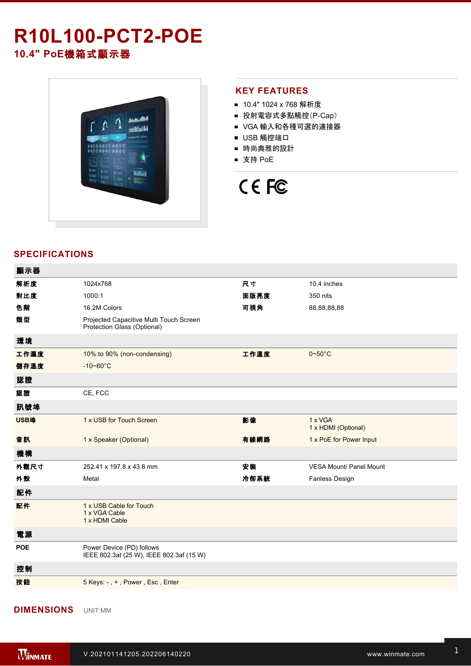## **R10L100-PCT2-POE 10.4" PoE**機箱式顯示器



## **KEY FEATURES**

- 10.4" 1024 x 768 解析度
- 投射電容式多點觸控(P-Cap)
- VGA 輸入和各種可選的連接器
- USB 觸控端口
- 時尚典雅的設計
- 支持 PoE



## **SPECIFICATIONS**

| 顯示器        |                                                                        |      |                                |
|------------|------------------------------------------------------------------------|------|--------------------------------|
| 解析度        | 1024x768                                                               | 尺寸   | 10.4 inches                    |
| 對比度        | 1000:1                                                                 | 面版亮度 | 350 nits                       |
| 色階         | 16.2M Colors                                                           | 可視角  | 88,88,88,88                    |
| 類型         | Projected Capacitive Multi Touch Screen<br>Protection Glass (Optional) |      |                                |
| 環境         |                                                                        |      |                                |
| 工作濕度       | 10% to 90% (non-condensing)                                            | 工作溫度 | $0 - 50$ °C                    |
| 儲存溫度       | $-10 - 60^{\circ}C$                                                    |      |                                |
| 認證         |                                                                        |      |                                |
| 認證         | CE, FCC                                                                |      |                                |
| 訊號埠        |                                                                        |      |                                |
| USB埠       | 1 x USB for Touch Screen                                               | 影像   | 1 x VGA<br>1 x HDMI (Optional) |
| 音訊         | 1 x Speaker (Optional)                                                 | 有線網路 | 1 x PoE for Power Input        |
| 機構         |                                                                        |      |                                |
| 外觀尺寸       | 252.41 x 197.8 x 43.8 mm                                               | 安装   | <b>VESA Mount/ Panel Mount</b> |
| 外殼         | Metal                                                                  | 冷卻系統 | Fanless Design                 |
| 配件         |                                                                        |      |                                |
| 配件         | 1 x USB Cable for Touch<br>1 x VGA Cable<br>1 x HDMI Cable             |      |                                |
| 電源         |                                                                        |      |                                |
| <b>POE</b> | Power Device (PD) follows<br>IEEE 802.3at (25 W), IEEE 802.3af (15 W)  |      |                                |
| 控制         |                                                                        |      |                                |
| 按鈕         | 5 Keys: -, +, Power, Esc, Enter                                        |      |                                |
|            |                                                                        |      |                                |

**DIMENSIONS**  UNIT:MM